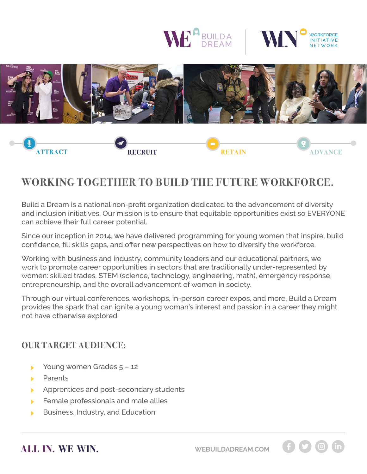





# **WORKING TOGETHER TO BUILD THE FUTURE WORKFORCE.**

Build a Dream is a national non-profit organization dedicated to the advancement of diversity and inclusion initiatives. Our mission is to ensure that equitable opportunities exist so EVERYONE can achieve their full career potential.

Since our inception in 2014, we have delivered programming for young women that inspire, build confidence, fill skills gaps, and offer new perspectives on how to diversify the workforce.

Working with business and industry, community leaders and our educational partners, we work to promote career opportunities in sectors that are traditionally under-represented by women: skilled trades, STEM (science, technology, engineering, math), emergency response, entrepreneurship, and the overall advancement of women in society.

Through our virtual conferences, workshops, in-person career expos, and more, Build a Dream provides the spark that can ignite a young woman's interest and passion in a career they might not have otherwise explored.

### **OUR TARGET AUDIENCE:**

- Young women Grades 5 12
- **Parents**
- Apprentices and post-secondary students
- Female professionals and male allies
- Business, Industry, and Education

**ALL IN. WE WIN. [WEBUILDADREAM.COM](http://www.webuildadream.com)**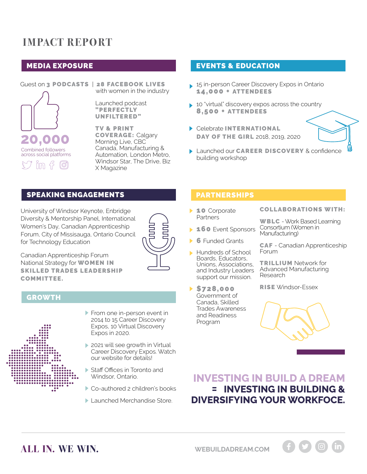# **IMPACT REPORT**

### MEDIA EXPOSURE



Guest on 3 PODCASTS | 28 FACEBOOK LIVES with women in the industry

> Launched podcast "PERFECTLY UNFILTERED"

TV & PRINT COVERAGE: Calgary Morning Live, CBC Canada, Manufacturing & Automation, London Metro, Windsor Star, The Drive, Biz X Magazine

#### EVENTS & EDUCATION

- 15 in-person Career Discovery Expos in Ontario 14,000 + ATTENDEES
- ▶ 10 "virtual" discovery expos across the country 8,500 + ATTENDEES
- Celebrate **INTERNATIONAL** DAY OF THE GIRL 2018, 2019, 2020
- **Launched our CAREER DISCOVERY & confidence** building workshop

#### SPEAKING ENGAGEMENTS

University of Windsor Keynote, Enbridge Diversity & Mentorship Panel, International Women's Day, Canadian Apprenticeship Forum, City of Missisauga, Ontario Council for Technology Education



Canadian Apprenticeship Forum National Strategy for **WOMEN IN** SKILLED TRADES LEADERSHIP COMMITTEE.

#### **GROWTH**



- From one in-person event in 2014 to 15 Career Discovery Expos, 10 Virtual Discovery Expos in 2020.
- 2021 will see growth in Virtual Career Discovery Expos. Watch our website for details!
- Staff Offices in Toronto and Windsor, Ontario.
- Co-authored 2 children's books
- **Launched Merchandise Store.**

#### PARTNERSHIPS

- **10** Corporate Partners
- **160 Event Sponsors**
- **6** Funded Grants
- Hundreds of School Boards, Educators, Unions, Associations, and Industry Leaders support our mission.
- \$728,000 Government of Canada, Skilled Trades Awareness and Readiness Program

#### COLLABORATIONS WITH:

WBLC - Work Based Learning Consortium (Women in Manufacturing)

CAF - Canadian Apprenticeship Forum

TRILLIUM Network for Advanced Manufacturing Research

RISE Windsor-Essex

## **INVESTING IN BUILD A DREAM = INVESTING IN BUILDING & DIVERSIFYING YOUR WORKFOCE.**